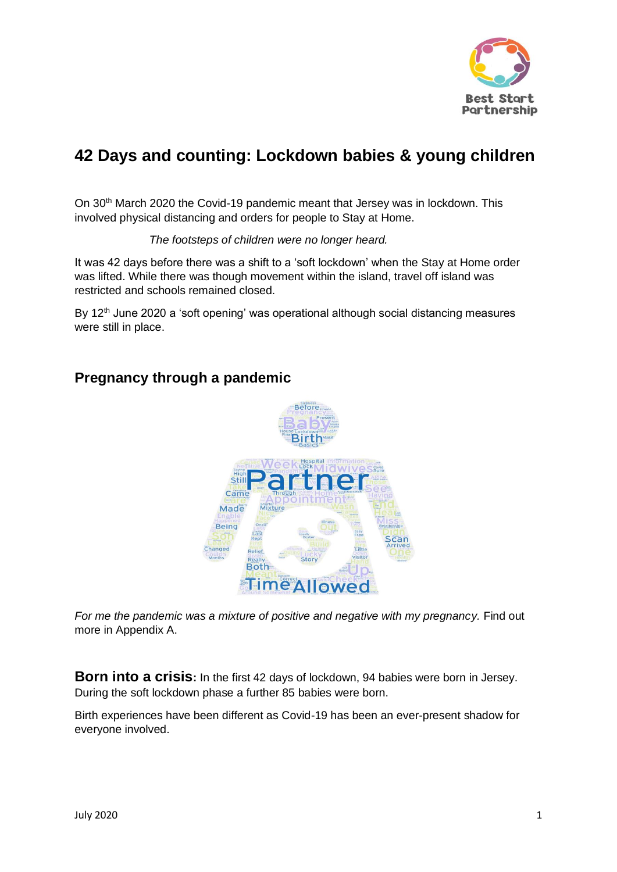

# **42 Days and counting: Lockdown babies & young children**

On 30th March 2020 the Covid-19 pandemic meant that Jersey was in lockdown. This involved physical distancing and orders for people to Stay at Home.

*The footsteps of children were no longer heard.*

It was 42 days before there was a shift to a 'soft lockdown' when the Stay at Home order was lifted. While there was though movement within the island, travel off island was restricted and schools remained closed.

By 12<sup>th</sup> June 2020 a 'soft opening' was operational although social distancing measures were still in place.

## **Pregnancy through a pandemic**



*For me the pandemic was a mixture of positive and negative with my pregnancy.* Find out more in Appendix A.

**Born into a crisis:** In the first 42 days of lockdown, 94 babies were born in Jersey. During the soft lockdown phase a further 85 babies were born.

Birth experiences have been different as Covid-19 has been an ever-present shadow for everyone involved.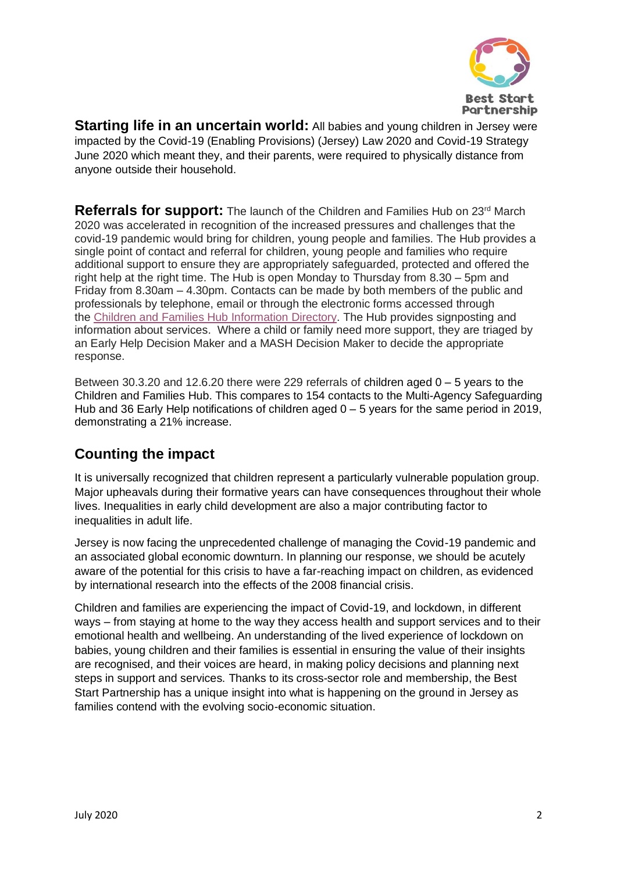

**Starting life in an uncertain world:** All babies and young children in Jersey were impacted by the Covid-19 (Enabling Provisions) (Jersey) Law 2020 and Covid-19 Strategy June 2020 which meant they, and their parents, were required to physically distance from anyone outside their household.

**Referrals for support:** The launch of the Children and Families Hub on 23<sup>rd</sup> March 2020 was accelerated in recognition of the increased pressures and challenges that the covid-19 pandemic would bring for children, young people and families. The Hub provides a single point of contact and referral for children, young people and families who require additional support to ensure they are appropriately safeguarded, protected and offered the right help at the right time. The Hub is open Monday to Thursday from 8.30 – 5pm and Friday from 8.30am – 4.30pm. Contacts can be made by both members of the public and professionals by telephone, email or through the electronic forms accessed through the Children and Families Hub [Information](https://eur04.safelinks.protection.outlook.com/?url=https%3A%2F%2Fwww.gov.je%2FCaring%2FHelpSupportChildrenFamilies%2FPages%2FChildrenAndFamiliesHub.aspx&data=02%7C01%7C%7C593c3d1ca8534b9a737e08d828cc4cac%7C84df9e7fe9f640afb435aaaaaaaaaaaa%7C1%7C0%7C637304205202832084&sdata=game5GVWOhl9h1tUvC6um%2BaG%2Fj%2BaGVTc8E5yQLB1OyU%3D&reserved=0) Directory. The Hub provides signposting and information about services. Where a child or family need more support, they are triaged by an Early Help Decision Maker and a MASH Decision Maker to decide the appropriate response.

Between 30.3.20 and 12.6.20 there were 229 referrals of children aged 0 – 5 years to the Children and Families Hub. This compares to 154 contacts to the Multi-Agency Safeguarding Hub and 36 Early Help notifications of children aged 0 – 5 years for the same period in 2019, demonstrating a 21% increase.

# **Counting the impact**

It is universally recognized that children represent a particularly vulnerable population group. Major upheavals during their formative years can have consequences throughout their whole lives. Inequalities in early child development are also a major contributing factor to inequalities in adult life.

Jersey is now facing the unprecedented challenge of managing the Covid-19 pandemic and an associated global economic downturn. In planning our response, we should be acutely aware of the potential for this crisis to have a far-reaching impact on children, as evidenced by international research into the effects of the 2008 financial crisis.

Children and families are experiencing the impact of Covid-19, and lockdown, in different ways – from staying at home to the way they access health and support services and to their emotional health and wellbeing. An understanding of the lived experience of lockdown on babies, young children and their families is essential in ensuring the value of their insights are recognised, and their voices are heard, in making policy decisions and planning next steps in support and services. Thanks to its cross-sector role and membership, the Best Start Partnership has a unique insight into what is happening on the ground in Jersey as families contend with the evolving socio-economic situation.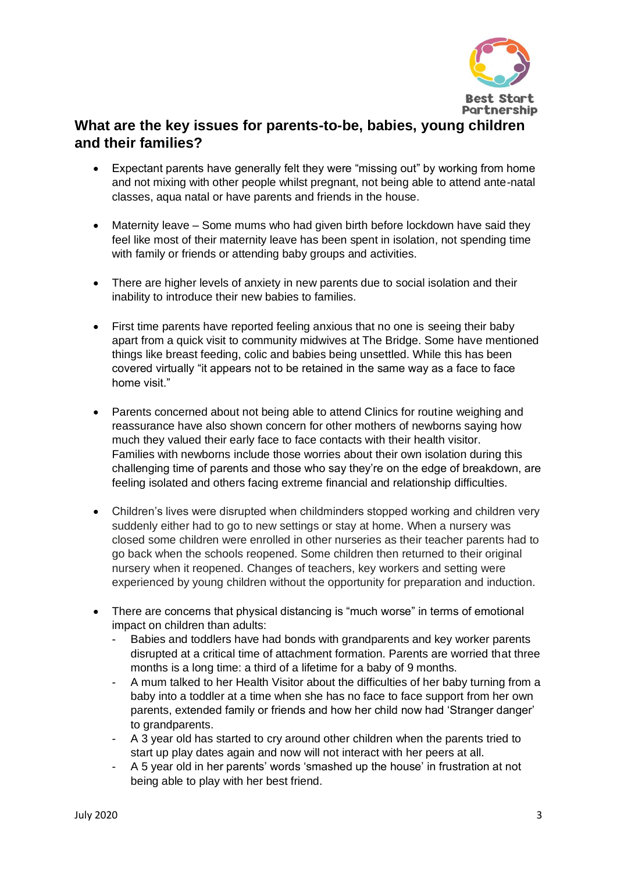

# **What are the key issues for parents-to-be, babies, young children and their families?**

- Expectant parents have generally felt they were "missing out" by working from home and not mixing with other people whilst pregnant, not being able to attend ante-natal classes, aqua natal or have parents and friends in the house.
- Maternity leave Some mums who had given birth before lockdown have said they feel like most of their maternity leave has been spent in isolation, not spending time with family or friends or attending baby groups and activities.
- There are higher levels of anxiety in new parents due to social isolation and their inability to introduce their new babies to families.
- First time parents have reported feeling anxious that no one is seeing their baby apart from a quick visit to community midwives at The Bridge. Some have mentioned things like breast feeding, colic and babies being unsettled. While this has been covered virtually "it appears not to be retained in the same way as a face to face home visit."
- Parents concerned about not being able to attend Clinics for routine weighing and reassurance have also shown concern for other mothers of newborns saying how much they valued their early face to face contacts with their health visitor. Families with newborns include those worries about their own isolation during this challenging time of parents and those who say they're on the edge of breakdown, are feeling isolated and others facing extreme financial and relationship difficulties.
- Children's lives were disrupted when childminders stopped working and children very suddenly either had to go to new settings or stay at home. When a nursery was closed some children were enrolled in other nurseries as their teacher parents had to go back when the schools reopened. Some children then returned to their original nursery when it reopened. Changes of teachers, key workers and setting were experienced by young children without the opportunity for preparation and induction.
- There are concerns that physical distancing is "much worse" in terms of emotional impact on children than adults:
	- Babies and toddlers have had bonds with grandparents and key worker parents disrupted at a critical time of attachment formation. Parents are worried that three months is a long time: a third of a lifetime for a baby of 9 months.
	- A mum talked to her Health Visitor about the difficulties of her baby turning from a baby into a toddler at a time when she has no face to face support from her own parents, extended family or friends and how her child now had 'Stranger danger' to grandparents.
	- A 3 year old has started to cry around other children when the parents tried to start up play dates again and now will not interact with her peers at all.
	- A 5 year old in her parents' words 'smashed up the house' in frustration at not being able to play with her best friend.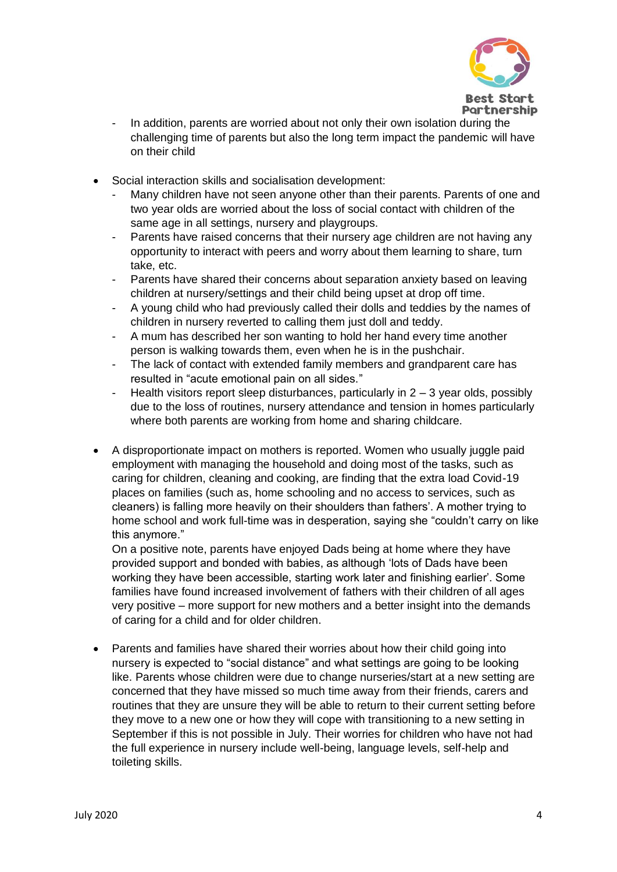

- In addition, parents are worried about not only their own isolation during the challenging time of parents but also the long term impact the pandemic will have on their child
- Social interaction skills and socialisation development:
	- Many children have not seen anyone other than their parents. Parents of one and two year olds are worried about the loss of social contact with children of the same age in all settings, nursery and playgroups.
	- Parents have raised concerns that their nursery age children are not having any opportunity to interact with peers and worry about them learning to share, turn take, etc.
	- Parents have shared their concerns about separation anxiety based on leaving children at nursery/settings and their child being upset at drop off time.
	- A young child who had previously called their dolls and teddies by the names of children in nursery reverted to calling them just doll and teddy.
	- A mum has described her son wanting to hold her hand every time another person is walking towards them, even when he is in the pushchair.
	- The lack of contact with extended family members and grandparent care has resulted in "acute emotional pain on all sides."
	- Health visitors report sleep disturbances, particularly in  $2 3$  year olds, possibly due to the loss of routines, nursery attendance and tension in homes particularly where both parents are working from home and sharing childcare.
- A disproportionate impact on mothers is reported. Women who usually juggle paid employment with managing the household and doing most of the tasks, such as caring for children, cleaning and cooking, are finding that the extra load Covid-19 places on families (such as, home schooling and no access to services, such as cleaners) is falling more heavily on their shoulders than fathers'. A mother trying to home school and work full-time was in desperation, saying she "couldn't carry on like this anymore."

On a positive note, parents have enjoyed Dads being at home where they have provided support and bonded with babies, as although 'lots of Dads have been working they have been accessible, starting work later and finishing earlier'. Some families have found increased involvement of fathers with their children of all ages very positive – more support for new mothers and a better insight into the demands of caring for a child and for older children.

• Parents and families have shared their worries about how their child going into nursery is expected to "social distance" and what settings are going to be looking like. Parents whose children were due to change nurseries/start at a new setting are concerned that they have missed so much time away from their friends, carers and routines that they are unsure they will be able to return to their current setting before they move to a new one or how they will cope with transitioning to a new setting in September if this is not possible in July. Their worries for children who have not had the full experience in nursery include well-being, language levels, self-help and toileting skills.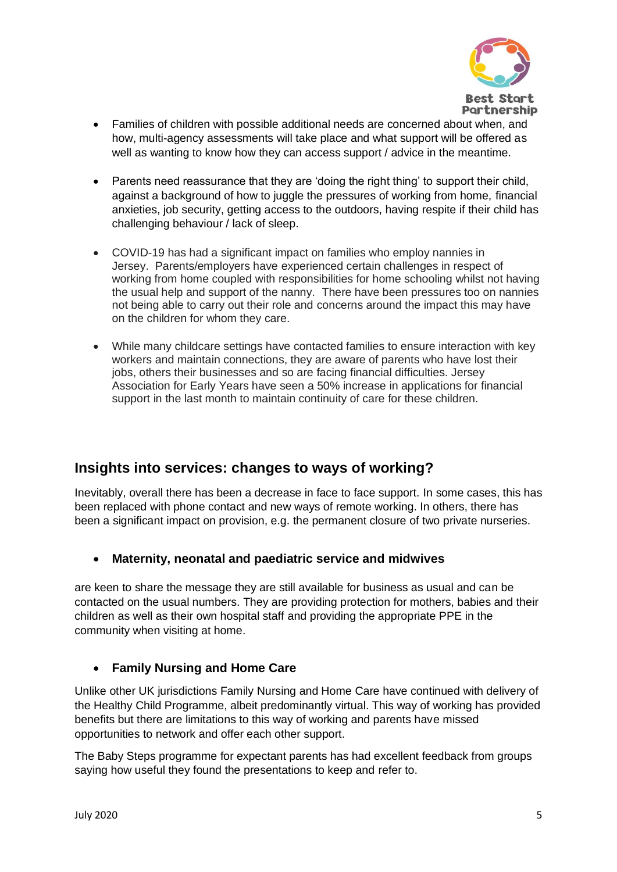

- Families of children with possible additional needs are concerned about when, and how, multi-agency assessments will take place and what support will be offered as well as wanting to know how they can access support / advice in the meantime.
- Parents need reassurance that they are 'doing the right thing' to support their child, against a background of how to juggle the pressures of working from home, financial anxieties, job security, getting access to the outdoors, having respite if their child has challenging behaviour / lack of sleep.
- COVID-19 has had a significant impact on families who employ nannies in Jersey. Parents/employers have experienced certain challenges in respect of working from home coupled with responsibilities for home schooling whilst not having the usual help and support of the nanny. There have been pressures too on nannies not being able to carry out their role and concerns around the impact this may have on the children for whom they care.
- While many childcare settings have contacted families to ensure interaction with key workers and maintain connections, they are aware of parents who have lost their jobs, others their businesses and so are facing financial difficulties. Jersey Association for Early Years have seen a 50% increase in applications for financial support in the last month to maintain continuity of care for these children.

# **Insights into services: changes to ways of working?**

Inevitably, overall there has been a decrease in face to face support. In some cases, this has been replaced with phone contact and new ways of remote working. In others, there has been a significant impact on provision, e.g. the permanent closure of two private nurseries.

## • **Maternity, neonatal and paediatric service and midwives**

are keen to share the message they are still available for business as usual and can be contacted on the usual numbers. They are providing protection for mothers, babies and their children as well as their own hospital staff and providing the appropriate PPE in the community when visiting at home.

#### • **Family Nursing and Home Care**

Unlike other UK jurisdictions Family Nursing and Home Care have continued with delivery of the Healthy Child Programme, albeit predominantly virtual. This way of working has provided benefits but there are limitations to this way of working and parents have missed opportunities to network and offer each other support.

The Baby Steps programme for expectant parents has had excellent feedback from groups saying how useful they found the presentations to keep and refer to.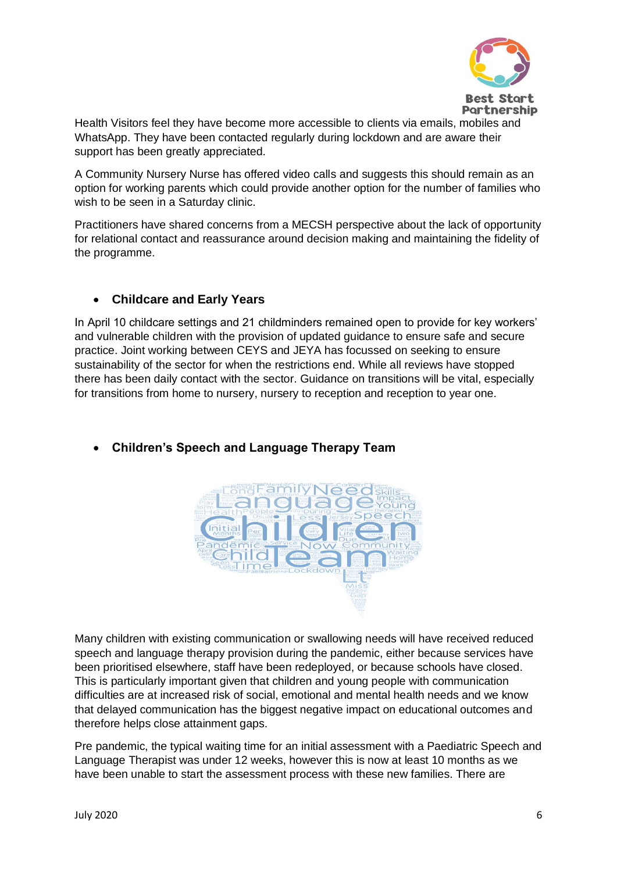

Health Visitors feel they have become more accessible to clients via emails, mobiles and WhatsApp. They have been contacted regularly during lockdown and are aware their support has been greatly appreciated.

A Community Nursery Nurse has offered video calls and suggests this should remain as an option for working parents which could provide another option for the number of families who wish to be seen in a Saturday clinic.

Practitioners have shared concerns from a MECSH perspective about the lack of opportunity for relational contact and reassurance around decision making and maintaining the fidelity of the programme.

## • **Childcare and Early Years**

In April 10 childcare settings and 21 childminders remained open to provide for key workers' and vulnerable children with the provision of updated guidance to ensure safe and secure practice. Joint working between CEYS and JEYA has focussed on seeking to ensure sustainability of the sector for when the restrictions end. While all reviews have stopped there has been daily contact with the sector. Guidance on transitions will be vital, especially for transitions from home to nursery, nursery to reception and reception to year one.



## • **Children's Speech and Language Therapy Team**

Many children with existing communication or swallowing needs will have received reduced speech and language therapy provision during the pandemic, either because services have been prioritised elsewhere, staff have been redeployed, or because schools have closed. This is particularly important given that children and young people with communication difficulties are at increased risk of social, emotional and mental health needs and we know that delayed communication has the biggest negative impact on educational outcomes and therefore helps close attainment gaps.

Pre pandemic, the typical waiting time for an initial assessment with a Paediatric Speech and Language Therapist was under 12 weeks, however this is now at least 10 months as we have been unable to start the assessment process with these new families. There are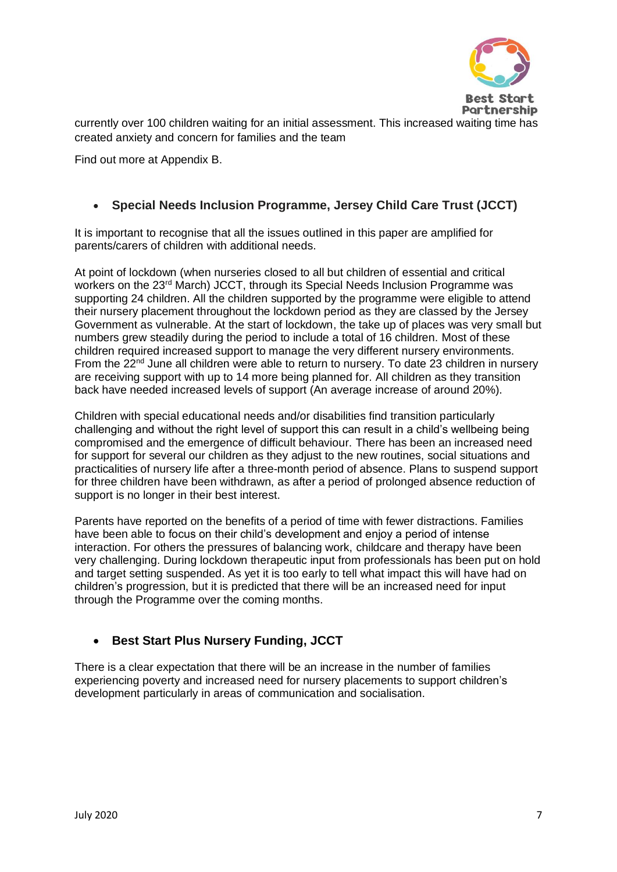

**Partnership** 

currently over 100 children waiting for an initial assessment. This increased waiting time has created anxiety and concern for families and the team

Find out more at Appendix B.

## • **Special Needs Inclusion Programme, Jersey Child Care Trust (JCCT)**

It is important to recognise that all the issues outlined in this paper are amplified for parents/carers of children with additional needs.

At point of lockdown (when nurseries closed to all but children of essential and critical workers on the 23<sup>rd</sup> March) JCCT, through its Special Needs Inclusion Programme was supporting 24 children. All the children supported by the programme were eligible to attend their nursery placement throughout the lockdown period as they are classed by the Jersey Government as vulnerable. At the start of lockdown, the take up of places was very small but numbers grew steadily during the period to include a total of 16 children. Most of these children required increased support to manage the very different nursery environments. From the 22<sup>nd</sup> June all children were able to return to nursery. To date 23 children in nursery are receiving support with up to 14 more being planned for. All children as they transition back have needed increased levels of support (An average increase of around 20%).

Children with special educational needs and/or disabilities find transition particularly challenging and without the right level of support this can result in a child's wellbeing being compromised and the emergence of difficult behaviour. There has been an increased need for support for several our children as they adjust to the new routines, social situations and practicalities of nursery life after a three-month period of absence. Plans to suspend support for three children have been withdrawn, as after a period of prolonged absence reduction of support is no longer in their best interest.

Parents have reported on the benefits of a period of time with fewer distractions. Families have been able to focus on their child's development and enjoy a period of intense interaction. For others the pressures of balancing work, childcare and therapy have been very challenging. During lockdown therapeutic input from professionals has been put on hold and target setting suspended. As yet it is too early to tell what impact this will have had on children's progression, but it is predicted that there will be an increased need for input through the Programme over the coming months.

## • **Best Start Plus Nursery Funding, JCCT**

There is a clear expectation that there will be an increase in the number of families experiencing poverty and increased need for nursery placements to support children's development particularly in areas of communication and socialisation.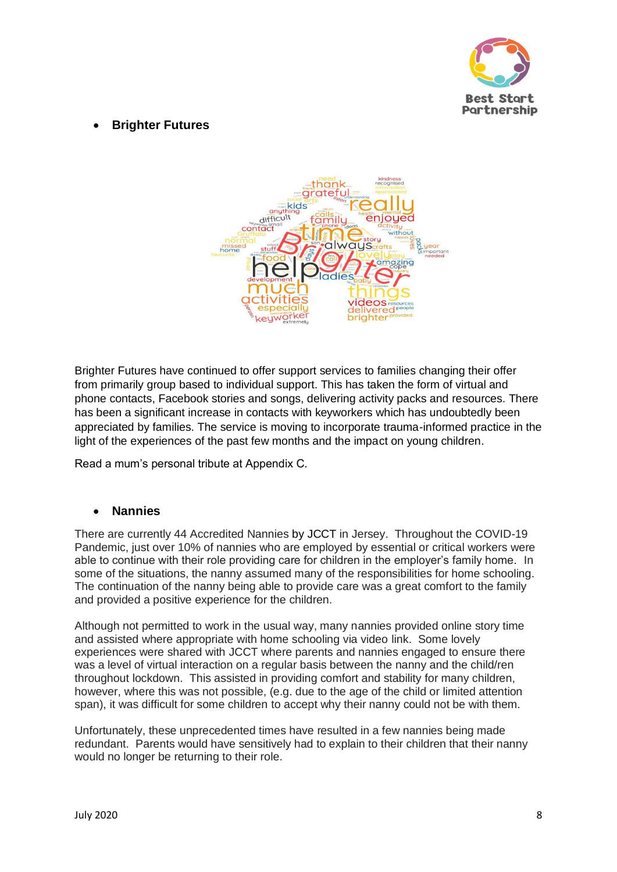

## • **Brighter Futures**



Brighter Futures have continued to offer support services to families changing their offer from primarily group based to individual support. This has taken the form of virtual and phone contacts, Facebook stories and songs, delivering activity packs and resources. There has been a significant increase in contacts with keyworkers which has undoubtedly been appreciated by families. The service is moving to incorporate trauma-informed practice in the light of the experiences of the past few months and the impact on young children.

Read a mum's personal tribute at Appendix C.

#### • **Nannies**

There are currently 44 Accredited Nannies by JCCT in Jersey. Throughout the COVID-19 Pandemic, just over 10% of nannies who are employed by essential or critical workers were able to continue with their role providing care for children in the employer's family home. In some of the situations, the nanny assumed many of the responsibilities for home schooling. The continuation of the nanny being able to provide care was a great comfort to the family and provided a positive experience for the children.

Although not permitted to work in the usual way, many nannies provided online story time and assisted where appropriate with home schooling via video link. Some lovely experiences were shared with JCCT where parents and nannies engaged to ensure there was a level of virtual interaction on a regular basis between the nanny and the child/ren throughout lockdown. This assisted in providing comfort and stability for many children, however, where this was not possible, (e.g. due to the age of the child or limited attention span), it was difficult for some children to accept why their nanny could not be with them.

Unfortunately, these unprecedented times have resulted in a few nannies being made redundant. Parents would have sensitively had to explain to their children that their nanny would no longer be returning to their role.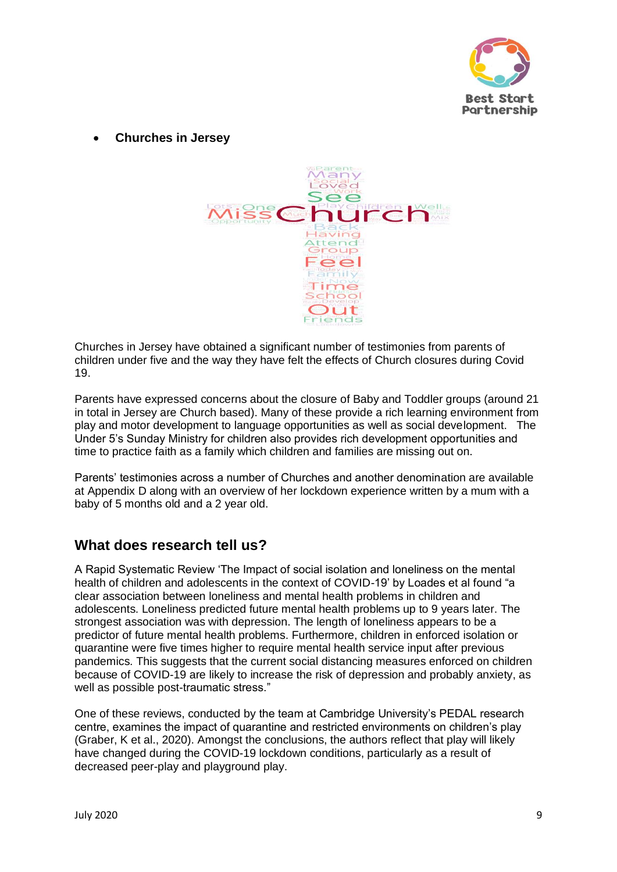

• **Churches in Jersey**



Churches in Jersey have obtained a significant number of testimonies from parents of children under five and the way they have felt the effects of Church closures during Covid 19.

Parents have expressed concerns about the closure of Baby and Toddler groups (around 21 in total in Jersey are Church based). Many of these provide a rich learning environment from play and motor development to language opportunities as well as social development. The Under 5's Sunday Ministry for children also provides rich development opportunities and time to practice faith as a family which children and families are missing out on.

Parents' testimonies across a number of Churches and another denomination are available at Appendix D along with an overview of her lockdown experience written by a mum with a baby of 5 months old and a 2 year old.

## **What does research tell us?**

A Rapid Systematic Review 'The Impact of social isolation and loneliness on the mental health of children and adolescents in the context of COVID-19' by Loades et al found "a clear association between loneliness and mental health problems in children and adolescents. Loneliness predicted future mental health problems up to 9 years later. The strongest association was with depression. The length of loneliness appears to be a predictor of future mental health problems. Furthermore, children in enforced isolation or quarantine were five times higher to require mental health service input after previous pandemics. This suggests that the current social distancing measures enforced on children because of COVID-19 are likely to increase the risk of depression and probably anxiety, as well as possible post-traumatic stress."

One of these reviews, conducted by the team at Cambridge University's PEDAL research centre, examines the impact of quarantine and restricted environments on children's play (Graber, K et al., 2020). Amongst the conclusions, the authors reflect that play will likely have changed during the COVID-19 lockdown conditions, particularly as a result of decreased peer-play and playground play.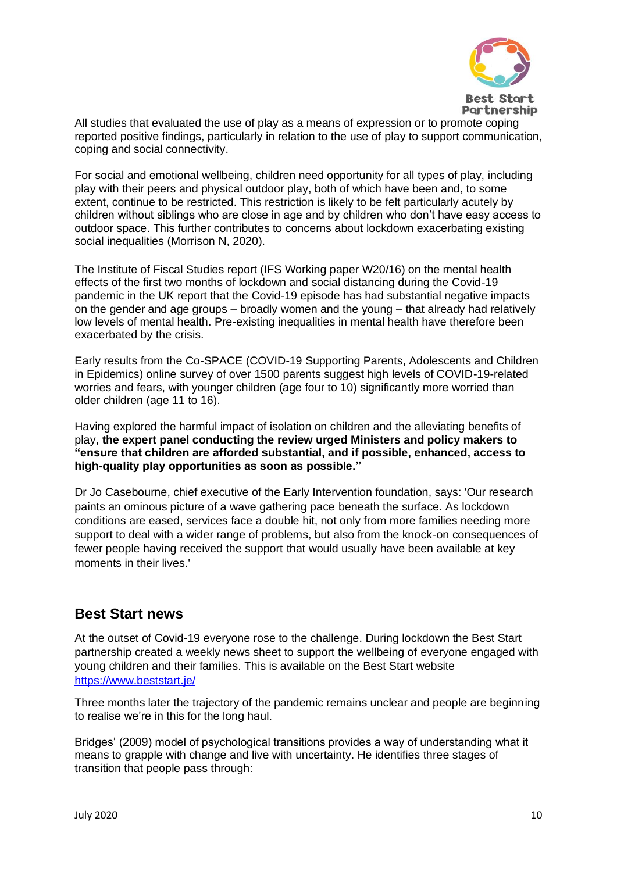

All studies that evaluated the use of play as a means of expression or to promote coping reported positive findings, particularly in relation to the use of play to support communication, coping and social connectivity.

For social and emotional wellbeing, children need opportunity for all types of play, including play with their peers and physical outdoor play, both of which have been and, to some extent, continue to be restricted. This restriction is likely to be felt particularly acutely by children without siblings who are close in age and by children who don't have easy access to outdoor space. This further contributes to concerns about lockdown exacerbating existing social inequalities (Morrison N, 2020).

The Institute of Fiscal Studies report (IFS Working paper W20/16) on the mental health effects of the first two months of lockdown and social distancing during the Covid-19 pandemic in the UK report that the Covid-19 episode has had substantial negative impacts on the gender and age groups – broadly women and the young – that already had relatively low levels of mental health. Pre-existing inequalities in mental health have therefore been exacerbated by the crisis.

Early results from the Co-SPACE (COVID-19 Supporting Parents, Adolescents and Children in Epidemics) online survey of over 1500 parents suggest high levels of COVID-19-related worries and fears, with younger children (age four to 10) significantly more worried than older children (age 11 to 16).

Having explored the harmful impact of isolation on children and the alleviating benefits of play, **the expert panel conducting the review urged Ministers and policy makers to "ensure that children are afforded substantial, and if possible, enhanced, access to high-quality play opportunities as soon as possible."**

Dr Jo Casebourne, chief executive of the Early Intervention foundation, says: 'Our research paints an ominous picture of a wave gathering pace beneath the surface. As lockdown conditions are eased, services face a double hit, not only from more families needing more support to deal with a wider range of problems, but also from the knock-on consequences of fewer people having received the support that would usually have been available at key moments in their lives.'

## **Best Start news**

At the outset of Covid-19 everyone rose to the challenge. During lockdown the Best Start partnership created a weekly news sheet to support the wellbeing of everyone engaged with young children and their families. This is available on the Best Start website <https://www.beststart.je/>

Three months later the trajectory of the pandemic remains unclear and people are beginning to realise we're in this for the long haul.

Bridges' (2009) model of psychological transitions provides a way of understanding what it means to grapple with change and live with uncertainty. He identifies three stages of transition that people pass through: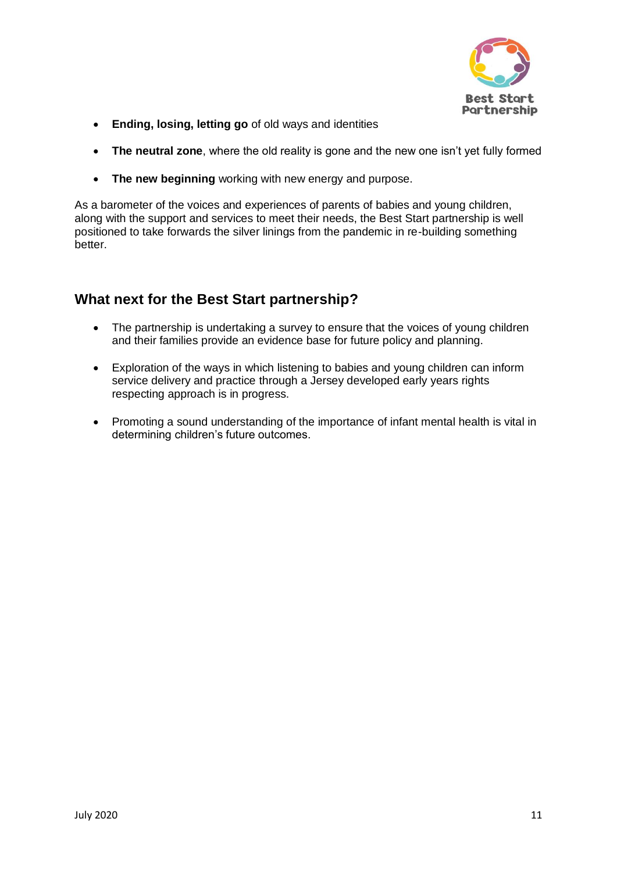

- **Ending, losing, letting go** of old ways and identities
- **The neutral zone**, where the old reality is gone and the new one isn't yet fully formed
- **The new beginning** working with new energy and purpose.

As a barometer of the voices and experiences of parents of babies and young children, along with the support and services to meet their needs, the Best Start partnership is well positioned to take forwards the silver linings from the pandemic in re-building something better.

# **What next for the Best Start partnership?**

- The partnership is undertaking a survey to ensure that the voices of young children and their families provide an evidence base for future policy and planning.
- Exploration of the ways in which listening to babies and young children can inform service delivery and practice through a Jersey developed early years rights respecting approach is in progress.
- Promoting a sound understanding of the importance of infant mental health is vital in determining children's future outcomes.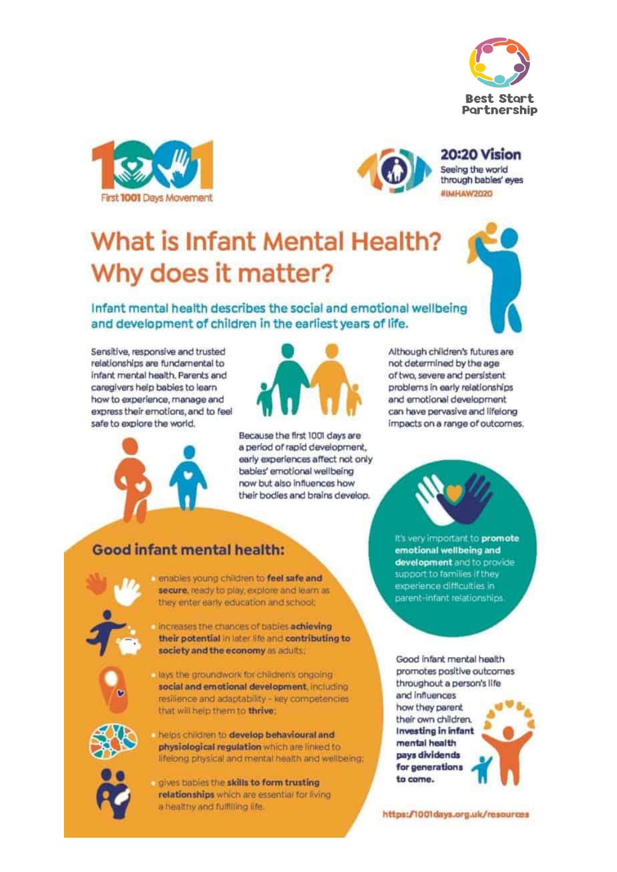





#### 20:20 Vision Seeing the world through bables' eyes **UCOCWAHAM**

# What is Infant Mental Health? Why does it matter?

Infant mental health describes the social and emotional wellbeing and development of children in the earliest years of life.

Sensitive, responsive and trusted relationships are fundamental to infant mental health, Parents and caregivers help bables to learn how to experience, manage and express their emotions, and to feel safe to explore the world.



Because the first 1001 days are a period of rapid development, early experiences affect not only babies' emotional wellbeing now but also influences how their bodies and brains develop.

Although children's futures are not determined by the age of two, severe and persistent problems in early relationships and emotional development can have pervasive and lifelong Impacts on a range of outcomes.



# **Good infant mental health:**

enables young children to feel safe and secure, ready to play, explore and learn as they enter early education and school;

il increases the chances of babies achieving their potential in later life and contributing to society and the economy as adults;



lays the groundwork for children's ongoing social and emotional development, including resilience and adaptability - key competencies that will help them to thrive:



helps children to develop behavioural and physiological regulation which are linked to lifelong physical and mental health and wellbeing;



gives babies the skills to form trusting relationships which are essential for living a healthy and fulfilling life. The contract of the https://1001days.org.uk/resources

It's very important to promote emotional wellbeing and development and to provide support to families if they experience difficulties in parent-infant relationships.

Good infant mental health promotes positive outcomes throughout a person's life and influences how they parent their own children. **Investing in infant** mental health pays dividends for generations to come.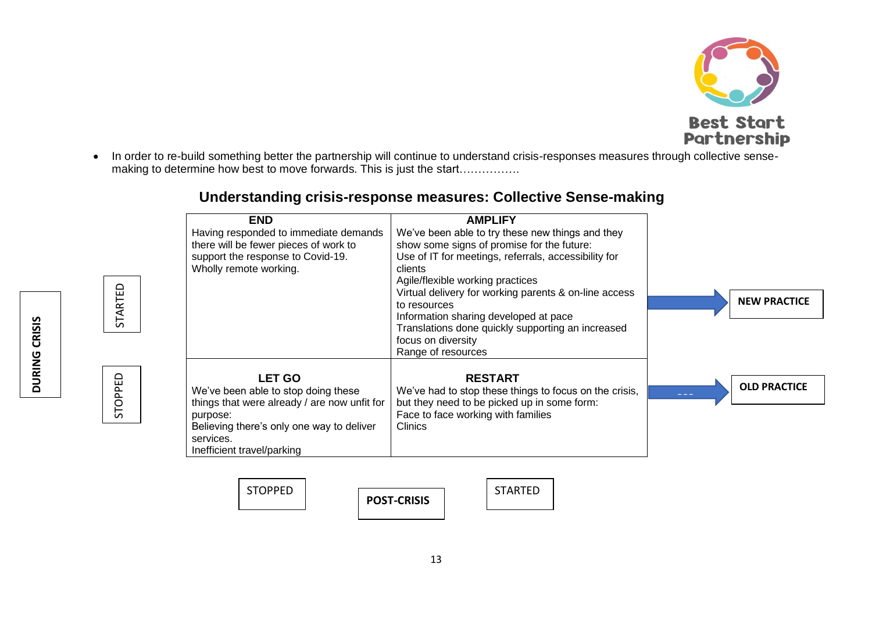

• In order to re-build something better the partnership will continue to understand crisis-responses measures through collective sensemaking to determine how best to move forwards. This is just the start…………….

| <b>END</b>                                   | <b>AMPLIFY</b>                                         |                            |
|----------------------------------------------|--------------------------------------------------------|----------------------------|
| Having responded to immediate demands        | We've been able to try these new things and they       |                            |
| there will be fewer pieces of work to        | show some signs of promise for the future:             |                            |
| support the response to Covid-19.            | Use of IT for meetings, referrals, accessibility for   |                            |
| Wholly remote working.                       | clients                                                |                            |
|                                              | Agile/flexible working practices                       |                            |
|                                              | Virtual delivery for working parents & on-line access  |                            |
|                                              | to resources                                           | <b>NEW PRACTICE</b>        |
|                                              | Information sharing developed at pace                  |                            |
|                                              | Translations done quickly supporting an increased      |                            |
|                                              | focus on diversity                                     |                            |
|                                              | Range of resources                                     |                            |
| <b>LET GO</b>                                | <b>RESTART</b>                                         |                            |
| We've been able to stop doing these          | We've had to stop these things to focus on the crisis, | <b>OLD PRACTICE</b><br>--- |
| things that were already / are now unfit for | but they need to be picked up in some form:            |                            |
| purpose:                                     | Face to face working with families                     |                            |
| Believing there's only one way to deliver    | Clinics                                                |                            |
| services.                                    |                                                        |                            |
| Inefficient travel/parking                   |                                                        |                            |

# **Understanding crisis-response measures: Collective Sense-making**

STOPPED | TWO STARTED **POST-CRISIS**

13

STOPPED STARTED

STOPPED

STARTED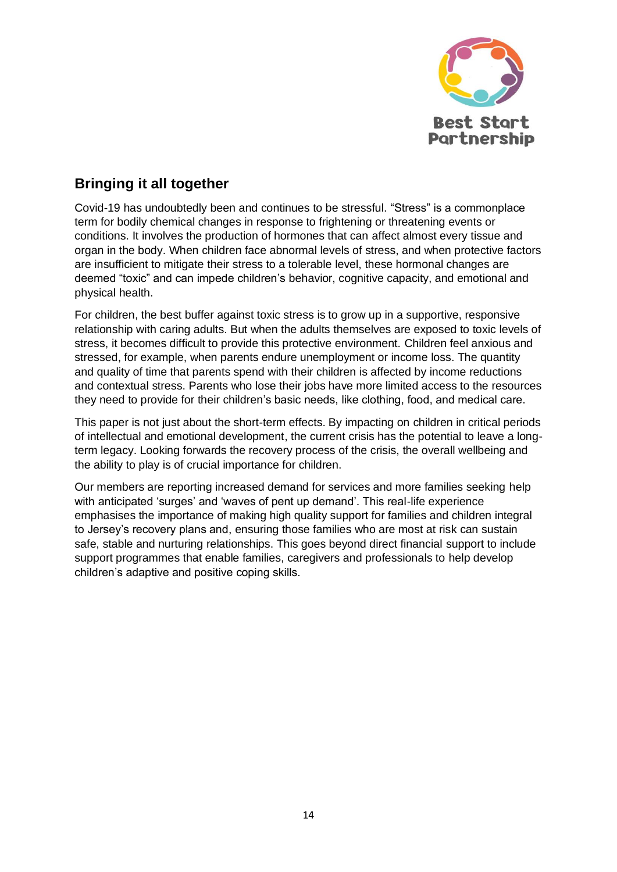

# **Bringing it all together**

Covid-19 has undoubtedly been and continues to be stressful. "Stress" is a commonplace term for bodily chemical changes in response to frightening or threatening events or conditions. It involves the production of hormones that can affect almost every tissue and organ in the body. When children face abnormal levels of stress, and when protective factors are insufficient to mitigate their stress to a tolerable level, these hormonal changes are deemed "toxic" and can impede children's behavior, cognitive capacity, and emotional and physical health.

For children, the best buffer against toxic stress is to grow up in a supportive, responsive relationship with caring adults. But when the adults themselves are exposed to toxic levels of stress, it becomes difficult to provide this protective environment. Children feel anxious and stressed, for example, when parents endure unemployment or income loss. The quantity and quality of time that parents spend with their children is affected by income reductions and contextual stress. Parents who lose their jobs have more limited access to the resources they need to provide for their children's basic needs, like clothing, food, and medical care.

This paper is not just about the short-term effects. By impacting on children in critical periods of intellectual and emotional development, the current crisis has the potential to leave a longterm legacy. Looking forwards the recovery process of the crisis, the overall wellbeing and the ability to play is of crucial importance for children.

Our members are reporting increased demand for services and more families seeking help with anticipated 'surges' and 'waves of pent up demand'. This real-life experience emphasises the importance of making high quality support for families and children integral to Jersey's recovery plans and, ensuring those families who are most at risk can sustain safe, stable and nurturing relationships. This goes beyond direct financial support to include support programmes that enable families, caregivers and professionals to help develop children's adaptive and positive coping skills.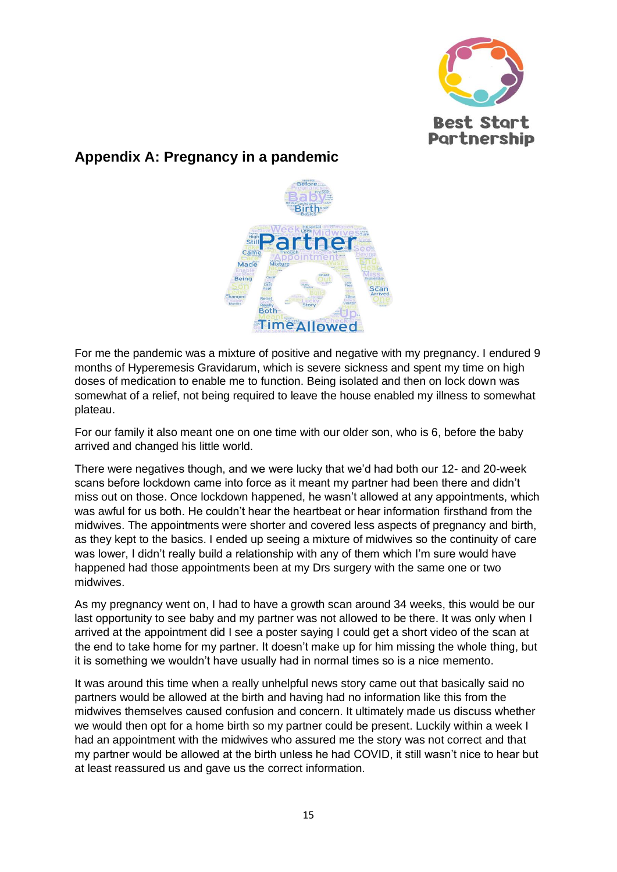

## **Appendix A: Pregnancy in a pandemic**



For me the pandemic was a mixture of positive and negative with my pregnancy. I endured 9 months of Hyperemesis Gravidarum, which is severe sickness and spent my time on high doses of medication to enable me to function. Being isolated and then on lock down was somewhat of a relief, not being required to leave the house enabled my illness to somewhat plateau.

For our family it also meant one on one time with our older son, who is 6, before the baby arrived and changed his little world.

There were negatives though, and we were lucky that we'd had both our 12- and 20-week scans before lockdown came into force as it meant my partner had been there and didn't miss out on those. Once lockdown happened, he wasn't allowed at any appointments, which was awful for us both. He couldn't hear the heartbeat or hear information firsthand from the midwives. The appointments were shorter and covered less aspects of pregnancy and birth, as they kept to the basics. I ended up seeing a mixture of midwives so the continuity of care was lower, I didn't really build a relationship with any of them which I'm sure would have happened had those appointments been at my Drs surgery with the same one or two midwives.

As my pregnancy went on, I had to have a growth scan around 34 weeks, this would be our last opportunity to see baby and my partner was not allowed to be there. It was only when I arrived at the appointment did I see a poster saying I could get a short video of the scan at the end to take home for my partner. It doesn't make up for him missing the whole thing, but it is something we wouldn't have usually had in normal times so is a nice memento.

It was around this time when a really unhelpful news story came out that basically said no partners would be allowed at the birth and having had no information like this from the midwives themselves caused confusion and concern. It ultimately made us discuss whether we would then opt for a home birth so my partner could be present. Luckily within a week I had an appointment with the midwives who assured me the story was not correct and that my partner would be allowed at the birth unless he had COVID, it still wasn't nice to hear but at least reassured us and gave us the correct information.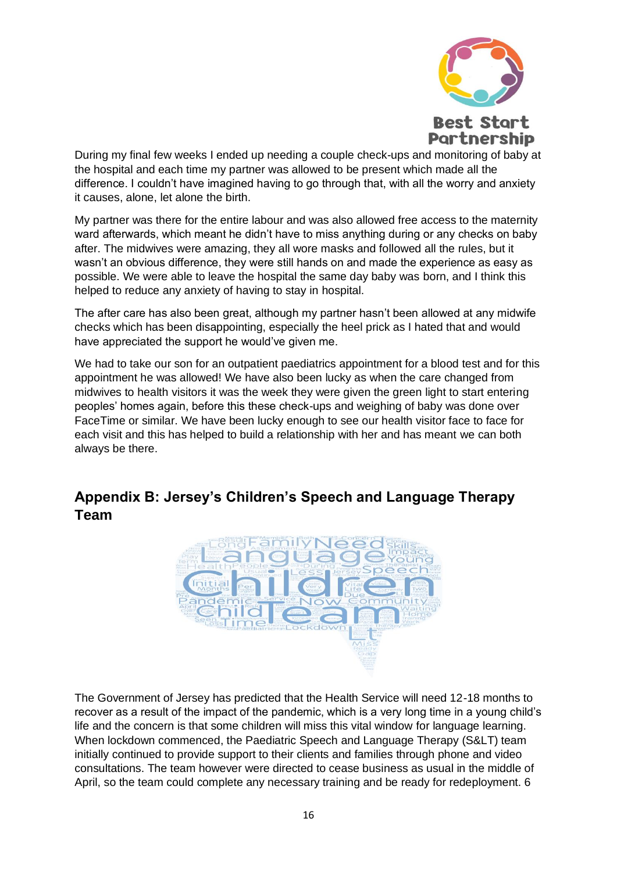

During my final few weeks I ended up needing a couple check-ups and monitoring of baby at the hospital and each time my partner was allowed to be present which made all the difference. I couldn't have imagined having to go through that, with all the worry and anxiety it causes, alone, let alone the birth.

My partner was there for the entire labour and was also allowed free access to the maternity ward afterwards, which meant he didn't have to miss anything during or any checks on baby after. The midwives were amazing, they all wore masks and followed all the rules, but it wasn't an obvious difference, they were still hands on and made the experience as easy as possible. We were able to leave the hospital the same day baby was born, and I think this helped to reduce any anxiety of having to stay in hospital.

The after care has also been great, although my partner hasn't been allowed at any midwife checks which has been disappointing, especially the heel prick as I hated that and would have appreciated the support he would've given me.

We had to take our son for an outpatient paediatrics appointment for a blood test and for this appointment he was allowed! We have also been lucky as when the care changed from midwives to health visitors it was the week they were given the green light to start entering peoples' homes again, before this these check-ups and weighing of baby was done over FaceTime or similar. We have been lucky enough to see our health visitor face to face for each visit and this has helped to build a relationship with her and has meant we can both always be there.

# **Appendix B: Jersey's Children's Speech and Language Therapy Team**



The Government of Jersey has predicted that the Health Service will need 12-18 months to recover as a result of the impact of the pandemic, which is a very long time in a young child's life and the concern is that some children will miss this vital window for language learning. When lockdown commenced, the Paediatric Speech and Language Therapy (S&LT) team initially continued to provide support to their clients and families through phone and video consultations. The team however were directed to cease business as usual in the middle of April, so the team could complete any necessary training and be ready for redeployment. 6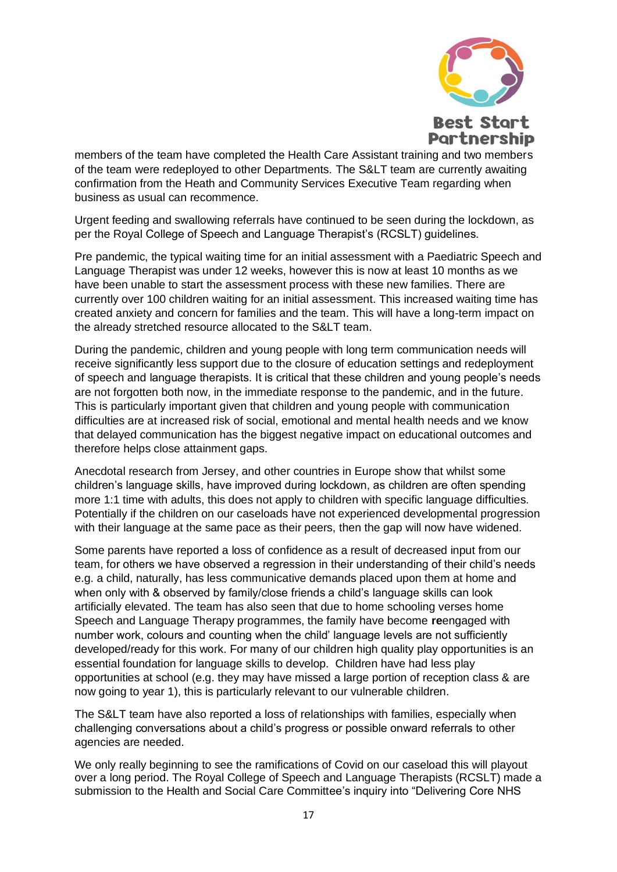

members of the team have completed the Health Care Assistant training and two members of the team were redeployed to other Departments. The S&LT team are currently awaiting confirmation from the Heath and Community Services Executive Team regarding when business as usual can recommence.

Urgent feeding and swallowing referrals have continued to be seen during the lockdown, as per the Royal College of Speech and Language Therapist's (RCSLT) guidelines.

Pre pandemic, the typical waiting time for an initial assessment with a Paediatric Speech and Language Therapist was under 12 weeks, however this is now at least 10 months as we have been unable to start the assessment process with these new families. There are currently over 100 children waiting for an initial assessment. This increased waiting time has created anxiety and concern for families and the team. This will have a long-term impact on the already stretched resource allocated to the S&LT team.

During the pandemic, children and young people with long term communication needs will receive significantly less support due to the closure of education settings and redeployment of speech and language therapists. It is critical that these children and young people's needs are not forgotten both now, in the immediate response to the pandemic, and in the future. This is particularly important given that children and young people with communication difficulties are at increased risk of social, emotional and mental health needs and we know that delayed communication has the biggest negative impact on educational outcomes and therefore helps close attainment gaps.

Anecdotal research from Jersey, and other countries in Europe show that whilst some children's language skills, have improved during lockdown, as children are often spending more 1:1 time with adults, this does not apply to children with specific language difficulties. Potentially if the children on our caseloads have not experienced developmental progression with their language at the same pace as their peers, then the gap will now have widened.

Some parents have reported a loss of confidence as a result of decreased input from our team, for others we have observed a regression in their understanding of their child's needs e.g. a child, naturally, has less communicative demands placed upon them at home and when only with & observed by family/close friends a child's language skills can look artificially elevated. The team has also seen that due to home schooling verses home Speech and Language Therapy programmes, the family have become **re**engaged with number work, colours and counting when the child' language levels are not sufficiently developed/ready for this work. For many of our children high quality play opportunities is an essential foundation for language skills to develop. Children have had less play opportunities at school (e.g. they may have missed a large portion of reception class & are now going to year 1), this is particularly relevant to our vulnerable children.

The S&LT team have also reported a loss of relationships with families, especially when challenging conversations about a child's progress or possible onward referrals to other agencies are needed.

We only really beginning to see the ramifications of Covid on our caseload this will playout over a long period. The Royal College of Speech and Language Therapists (RCSLT) made a submission to the Health and Social Care Committee's inquiry into "Delivering Core NHS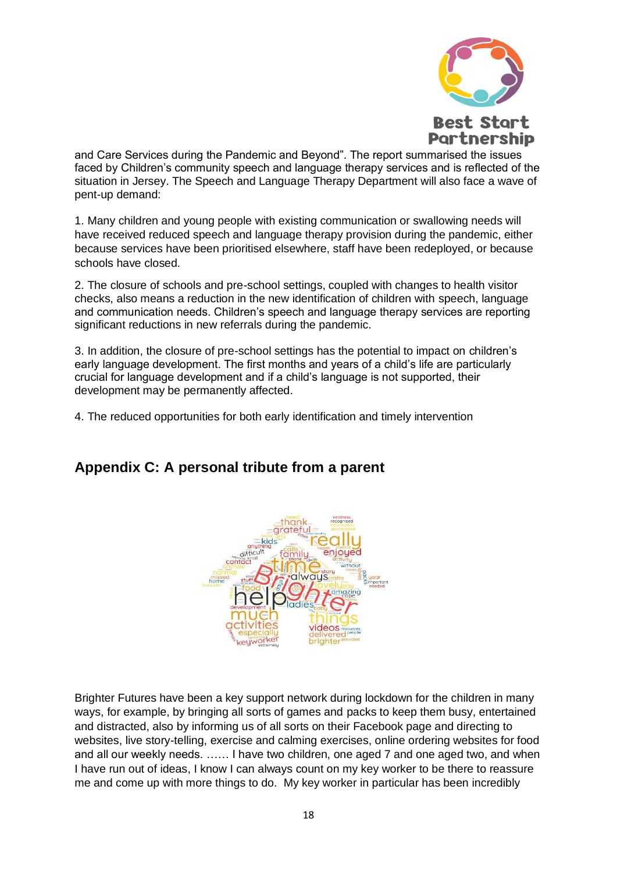

and Care Services during the Pandemic and Beyond". The report summarised the issues faced by Children's community speech and language therapy services and is reflected of the situation in Jersey. The Speech and Language Therapy Department will also face a wave of pent-up demand:

1. Many children and young people with existing communication or swallowing needs will have received reduced speech and language therapy provision during the pandemic, either because services have been prioritised elsewhere, staff have been redeployed, or because schools have closed.

2. The closure of schools and pre-school settings, coupled with changes to health visitor checks, also means a reduction in the new identification of children with speech, language and communication needs. Children's speech and language therapy services are reporting significant reductions in new referrals during the pandemic.

3. In addition, the closure of pre-school settings has the potential to impact on children's early language development. The first months and years of a child's life are particularly crucial for language development and if a child's language is not supported, their development may be permanently affected.

4. The reduced opportunities for both early identification and timely intervention

# **Appendix C: A personal tribute from a parent**



Brighter Futures have been a key support network during lockdown for the children in many ways, for example, by bringing all sorts of games and packs to keep them busy, entertained and distracted, also by informing us of all sorts on their Facebook page and directing to websites, live story-telling, exercise and calming exercises, online ordering websites for food and all our weekly needs. …… I have two children, one aged 7 and one aged two, and when I have run out of ideas, I know I can always count on my key worker to be there to reassure me and come up with more things to do. My key worker in particular has been incredibly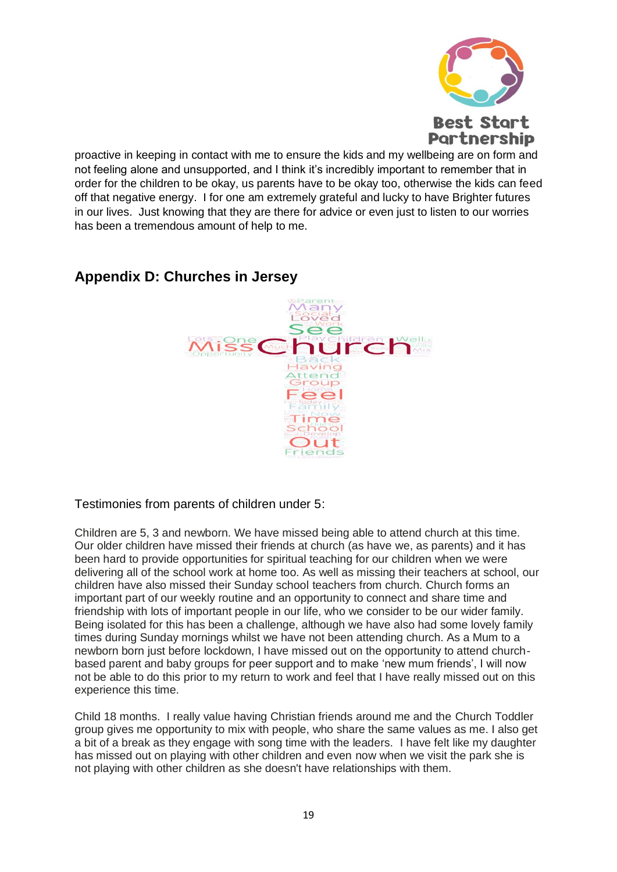

proactive in keeping in contact with me to ensure the kids and my wellbeing are on form and not feeling alone and unsupported, and I think it's incredibly important to remember that in order for the children to be okay, us parents have to be okay too, otherwise the kids can feed off that negative energy. I for one am extremely grateful and lucky to have Brighter futures in our lives. Just knowing that they are there for advice or even just to listen to our worries has been a tremendous amount of help to me.

# Aany<br>89ad  $=$  $\overline{\bullet}$  $\overline{\bullet}$ ttend roup Feel Time School Dut iends

# **Appendix D: Churches in Jersey**

Testimonies from parents of children under 5:

Children are 5, 3 and newborn. We have missed being able to attend church at this time. Our older children have missed their friends at church (as have we, as parents) and it has been hard to provide opportunities for spiritual teaching for our children when we were delivering all of the school work at home too. As well as missing their teachers at school, our children have also missed their Sunday school teachers from church. Church forms an important part of our weekly routine and an opportunity to connect and share time and friendship with lots of important people in our life, who we consider to be our wider family. Being isolated for this has been a challenge, although we have also had some lovely family times during Sunday mornings whilst we have not been attending church. As a Mum to a newborn born just before lockdown, I have missed out on the opportunity to attend churchbased parent and baby groups for peer support and to make 'new mum friends', I will now not be able to do this prior to my return to work and feel that I have really missed out on this experience this time.

Child 18 months. I really value having Christian friends around me and the Church Toddler group gives me opportunity to mix with people, who share the same values as me. I also get a bit of a break as they engage with song time with the leaders. I have felt like my daughter has missed out on playing with other children and even now when we visit the park she is not playing with other children as she doesn't have relationships with them.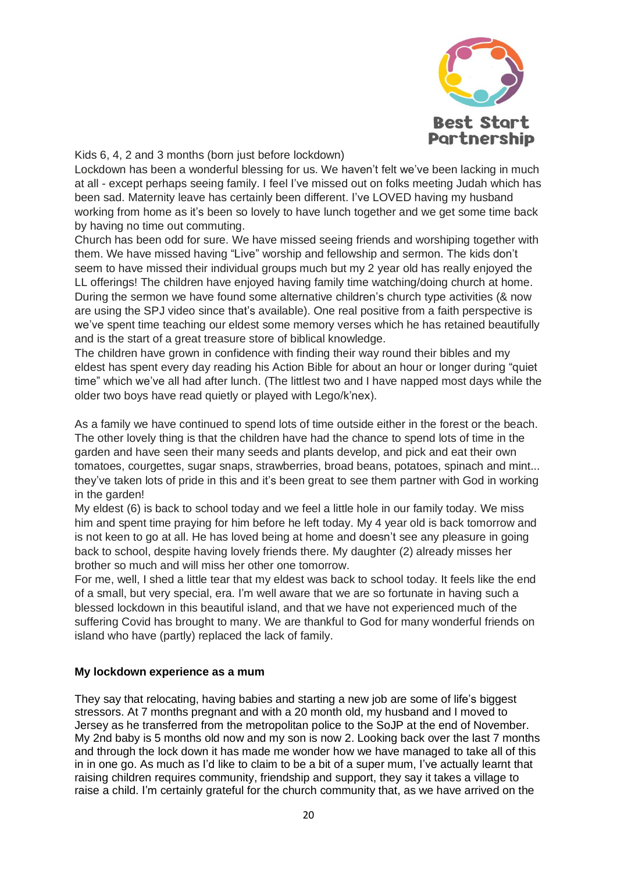

Kids 6, 4, 2 and 3 months (born just before lockdown)

Lockdown has been a wonderful blessing for us. We haven't felt we've been lacking in much at all - except perhaps seeing family. I feel I've missed out on folks meeting Judah which has been sad. Maternity leave has certainly been different. I've LOVED having my husband working from home as it's been so lovely to have lunch together and we get some time back by having no time out commuting.

Church has been odd for sure. We have missed seeing friends and worshiping together with them. We have missed having "Live" worship and fellowship and sermon. The kids don't seem to have missed their individual groups much but my 2 year old has really enjoyed the LL offerings! The children have enjoyed having family time watching/doing church at home. During the sermon we have found some alternative children's church type activities (& now are using the SPJ video since that's available). One real positive from a faith perspective is we've spent time teaching our eldest some memory verses which he has retained beautifully and is the start of a great treasure store of biblical knowledge.

The children have grown in confidence with finding their way round their bibles and my eldest has spent every day reading his Action Bible for about an hour or longer during "quiet time" which we've all had after lunch. (The littlest two and I have napped most days while the older two boys have read quietly or played with Lego/k'nex).

As a family we have continued to spend lots of time outside either in the forest or the beach. The other lovely thing is that the children have had the chance to spend lots of time in the garden and have seen their many seeds and plants develop, and pick and eat their own tomatoes, courgettes, sugar snaps, strawberries, broad beans, potatoes, spinach and mint... they've taken lots of pride in this and it's been great to see them partner with God in working in the garden!

My eldest (6) is back to school today and we feel a little hole in our family today. We miss him and spent time praying for him before he left today. My 4 year old is back tomorrow and is not keen to go at all. He has loved being at home and doesn't see any pleasure in going back to school, despite having lovely friends there. My daughter (2) already misses her brother so much and will miss her other one tomorrow.

For me, well, I shed a little tear that my eldest was back to school today. It feels like the end of a small, but very special, era. I'm well aware that we are so fortunate in having such a blessed lockdown in this beautiful island, and that we have not experienced much of the suffering Covid has brought to many. We are thankful to God for many wonderful friends on island who have (partly) replaced the lack of family.

#### **My lockdown experience as a mum**

They say that relocating, having babies and starting a new job are some of life's biggest stressors. At 7 months pregnant and with a 20 month old, my husband and I moved to Jersey as he transferred from the metropolitan police to the SoJP at the end of November. My 2nd baby is 5 months old now and my son is now 2. Looking back over the last 7 months and through the lock down it has made me wonder how we have managed to take all of this in in one go. As much as I'd like to claim to be a bit of a super mum, I've actually learnt that raising children requires community, friendship and support, they say it takes a village to raise a child. I'm certainly grateful for the church community that, as we have arrived on the